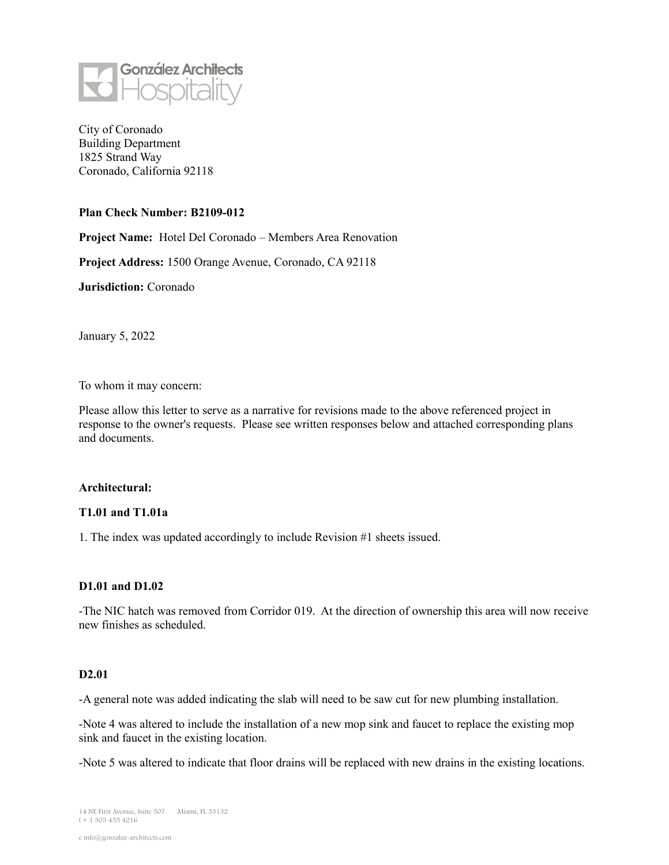

City of Coronado Building Department 1825 Strand Way Coronado, California 92118

#### **Plan Check Number: B2109-012**

**Project Name:** Hotel Del Coronado – Members Area Renovation

**Project Address:** 1500 Orange Avenue, Coronado, CA 92118

**Jurisdiction:** Coronado

January 5, 2022

To whom it may concern:

Please allow this letter to serve as a narrative for revisions made to the above referenced project in response to the owner's requests. Please see written responses below and attached corresponding plans and documents.

#### **Architectural:**

### **T1.01 and T1.01a**

1. The index was updated accordingly to include Revision #1 sheets issued.

#### **D1.01 and D1.02**

-The NIC hatch was removed from Corridor 019. At the direction of ownership this area will now receive new finishes as scheduled.

## **D2.01**

-A general note was added indicating the slab will need to be saw cut for new plumbing installation.

-Note 4 was altered to include the installation of a new mop sink and faucet to replace the existing mop sink and faucet in the existing location.

-Note 5 was altered to indicate that floor drains will be replaced with new drains in the existing locations.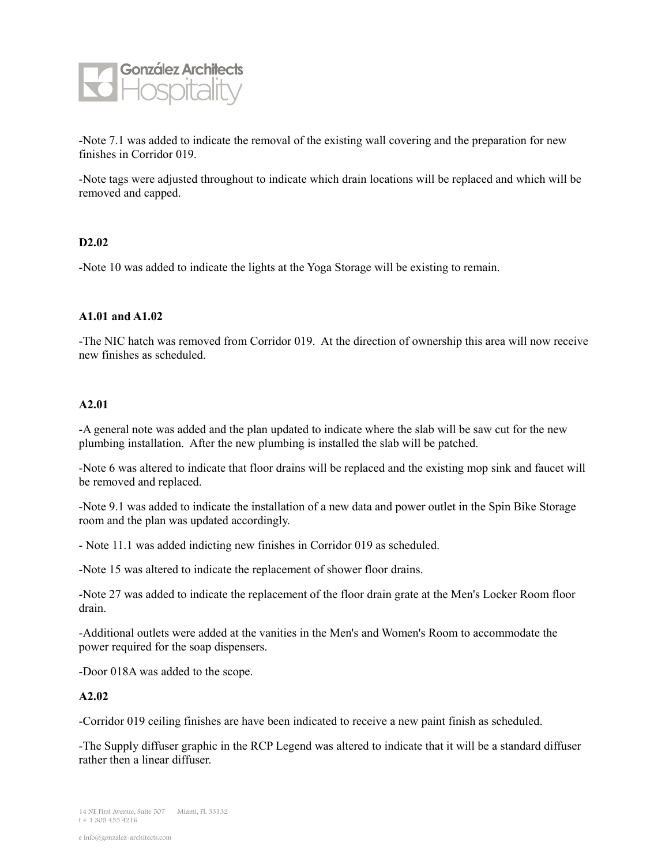

-Note 7.1 was added to indicate the removal of the existing wall covering and the preparation for new finishes in Corridor 019.

-Note tags were adjusted throughout to indicate which drain locations will be replaced and which will be removed and capped.

## **D2.02**

-Note 10 was added to indicate the lights at the Yoga Storage will be existing to remain.

## **A1.01 and A1.02**

-The NIC hatch was removed from Corridor 019. At the direction of ownership this area will now receive new finishes as scheduled.

#### **A2.01**

-A general note was added and the plan updated to indicate where the slab will be saw cut for the new plumbing installation. After the new plumbing is installed the slab will be patched.

-Note 6 was altered to indicate that floor drains will be replaced and the existing mop sink and faucet will be removed and replaced.

-Note 9.1 was added to indicate the installation of a new data and power outlet in the Spin Bike Storage room and the plan was updated accordingly.

- Note 11.1 was added indicting new finishes in Corridor 019 as scheduled.

-Note 15 was altered to indicate the replacement of shower floor drains.

-Note 27 was added to indicate the replacement of the floor drain grate at the Men's Locker Room floor drain.

-Additional outlets were added at the vanities in the Men's and Women's Room to accommodate the power required for the soap dispensers.

-Door 018A was added to the scope.

## **A2.02**

-Corridor 019 ceiling finishes are have been indicated to receive a new paint finish as scheduled.

-The Supply diffuser graphic in the RCP Legend was altered to indicate that it will be a standard diffuser rather then a linear diffuser.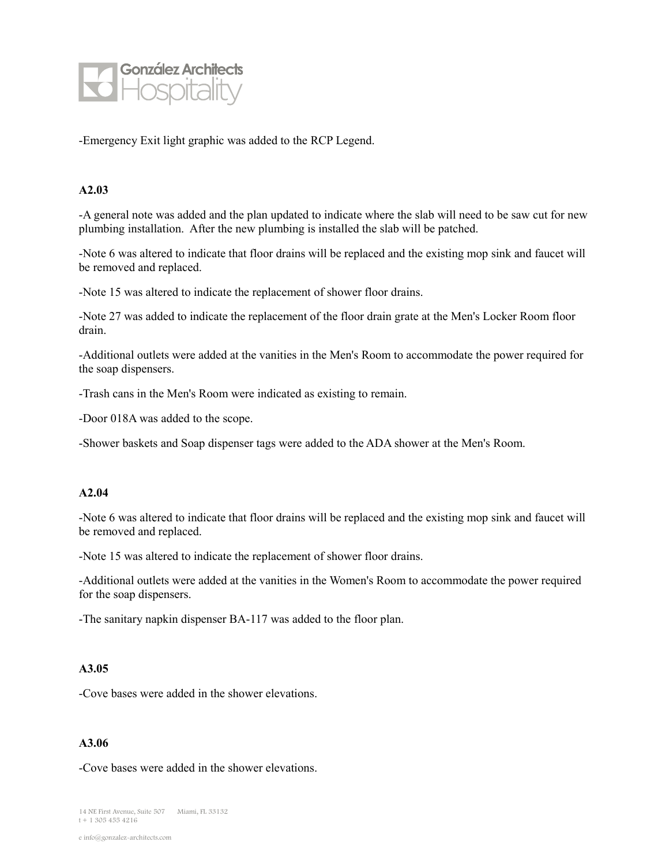

-Emergency Exit light graphic was added to the RCP Legend.

## **A2.03**

-A general note was added and the plan updated to indicate where the slab will need to be saw cut for new plumbing installation. After the new plumbing is installed the slab will be patched.

-Note 6 was altered to indicate that floor drains will be replaced and the existing mop sink and faucet will be removed and replaced.

-Note 15 was altered to indicate the replacement of shower floor drains.

-Note 27 was added to indicate the replacement of the floor drain grate at the Men's Locker Room floor drain.

-Additional outlets were added at the vanities in the Men's Room to accommodate the power required for the soap dispensers.

-Trash cans in the Men's Room were indicated as existing to remain.

-Door 018A was added to the scope.

-Shower baskets and Soap dispenser tags were added to the ADA shower at the Men's Room.

## **A2.04**

-Note 6 was altered to indicate that floor drains will be replaced and the existing mop sink and faucet will be removed and replaced.

-Note 15 was altered to indicate the replacement of shower floor drains.

-Additional outlets were added at the vanities in the Women's Room to accommodate the power required for the soap dispensers.

-The sanitary napkin dispenser BA-117 was added to the floor plan.

#### **A3.05**

-Cove bases were added in the shower elevations.

#### **A3.06**

-Cove bases were added in the shower elevations.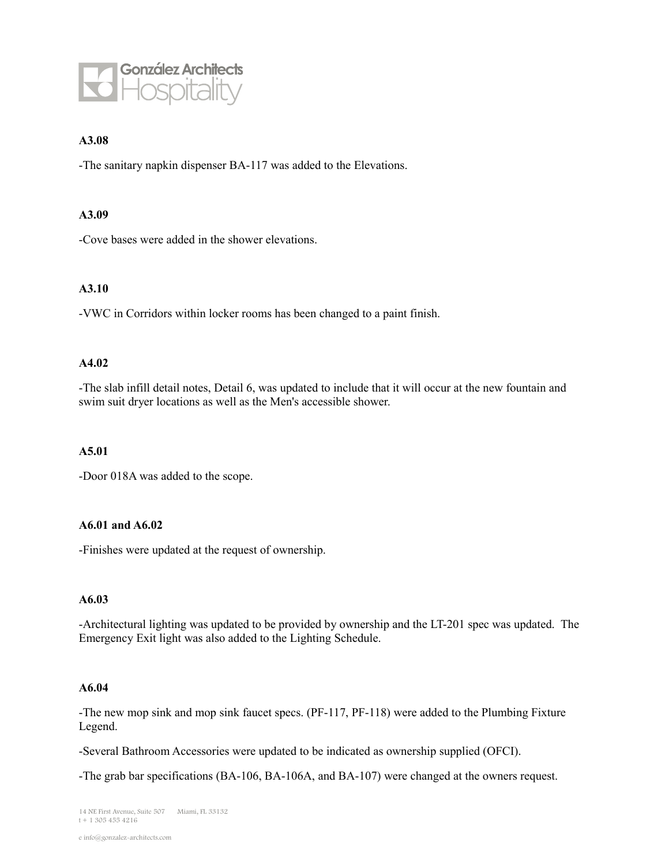

## **A3.08**

-The sanitary napkin dispenser BA-117 was added to the Elevations.

#### **A3.09**

-Cove bases were added in the shower elevations.

## **A3.10**

-VWC in Corridors within locker rooms has been changed to a paint finish.

# **A4.02**

-The slab infill detail notes, Detail 6, was updated to include that it will occur at the new fountain and swim suit dryer locations as well as the Men's accessible shower.

#### **A5.01**

-Door 018A was added to the scope.

### **A6.01 and A6.02**

-Finishes were updated at the request of ownership.

#### **A6.03**

-Architectural lighting was updated to be provided by ownership and the LT-201 spec was updated. The Emergency Exit light was also added to the Lighting Schedule.

### **A6.04**

-The new mop sink and mop sink faucet specs. (PF-117, PF-118) were added to the Plumbing Fixture Legend.

-Several Bathroom Accessories were updated to be indicated as ownership supplied (OFCI).

-The grab bar specifications (BA-106, BA-106A, and BA-107) were changed at the owners request.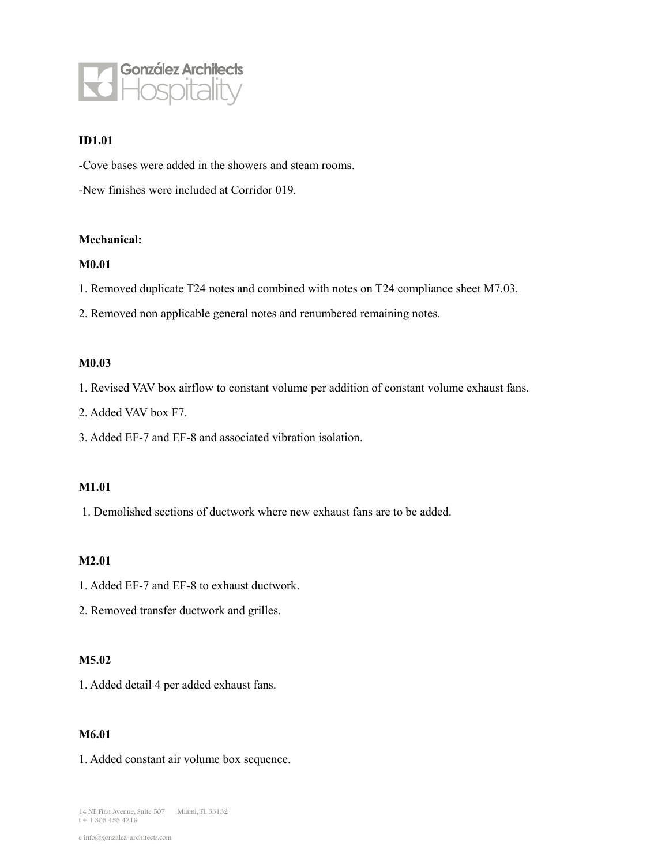

# **ID1.01**

-Cove bases were added in the showers and steam rooms.

-New finishes were included at Corridor 019.

#### **Mechanical:**

#### **M0.01**

1. Removed duplicate T24 notes and combined with notes on T24 compliance sheet M7.03.

2. Removed non applicable general notes and renumbered remaining notes.

#### **M0.03**

1. Revised VAV box airflow to constant volume per addition of constant volume exhaust fans.

2. Added VAV box F7.

3. Added EF-7 and EF-8 and associated vibration isolation.

## **M1.01**

1. Demolished sections of ductwork where new exhaust fans are to be added.

# **M2.01**

1. Added EF-7 and EF-8 to exhaust ductwork.

2. Removed transfer ductwork and grilles.

#### **M5.02**

1. Added detail 4 per added exhaust fans.

# **M6.01**

1. Added constant air volume box sequence.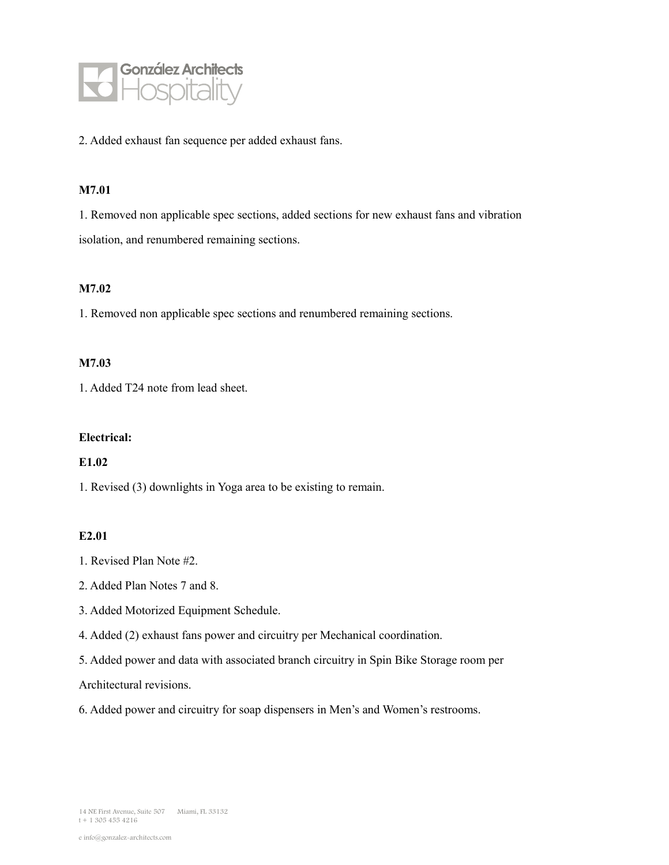

2. Added exhaust fan sequence per added exhaust fans.

#### **M7.01**

1. Removed non applicable spec sections, added sections for new exhaust fans and vibration isolation, and renumbered remaining sections.

### **M7.02**

1. Removed non applicable spec sections and renumbered remaining sections.

## **M7.03**

1. Added T24 note from lead sheet.

#### **Electrical:**

### **E1.02**

1. Revised (3) downlights in Yoga area to be existing to remain.

## **E2.01**

- 1. Revised Plan Note #2.
- 2. Added Plan Notes 7 and 8.
- 3. Added Motorized Equipment Schedule.
- 4. Added (2) exhaust fans power and circuitry per Mechanical coordination.
- 5. Added power and data with associated branch circuitry in Spin Bike Storage room per

Architectural revisions.

6. Added power and circuitry for soap dispensers in Men's and Women's restrooms.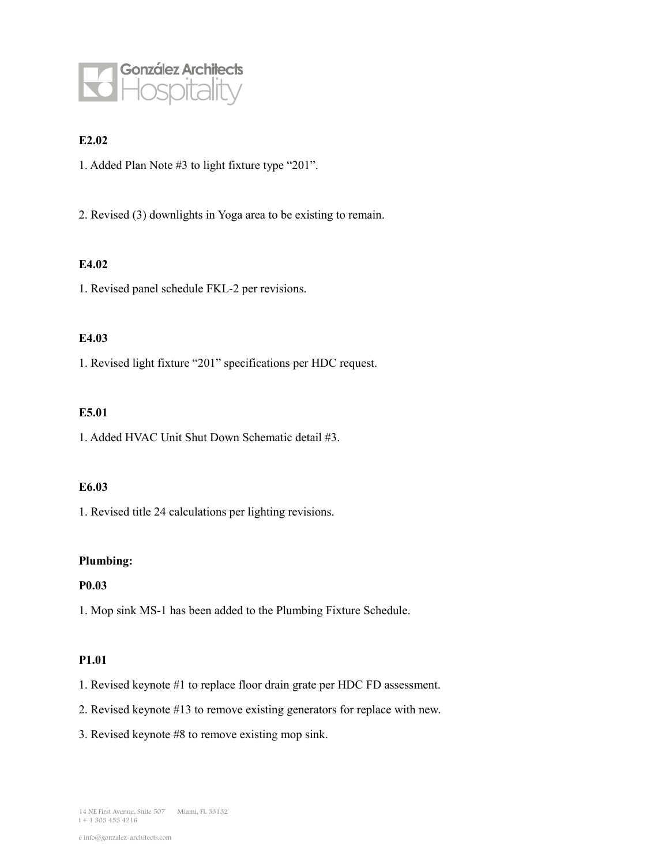

# **E2.02**

1. Added Plan Note #3 to light fixture type "201".

2. Revised (3) downlights in Yoga area to be existing to remain.

# **E4.02**

1. Revised panel schedule FKL-2 per revisions.

# **E4.03**

1. Revised light fixture "201" specifications per HDC request.

#### **E5.01**

1. Added HVAC Unit Shut Down Schematic detail #3.

## **E6.03**

1. Revised title 24 calculations per lighting revisions.

## **Plumbing:**

## **P0.03**

1. Mop sink MS-1 has been added to the Plumbing Fixture Schedule.

## **P1.01**

- 1. Revised keynote #1 to replace floor drain grate per HDC FD assessment.
- 2. Revised keynote #13 to remove existing generators for replace with new.
- 3. Revised keynote #8 to remove existing mop sink.